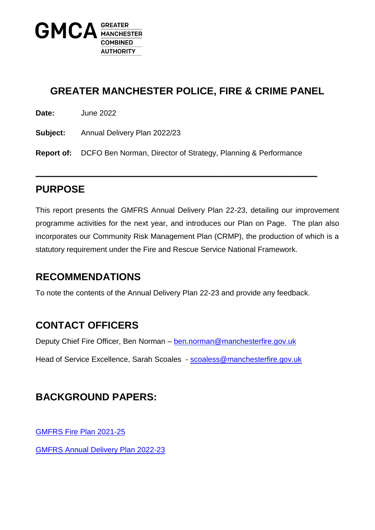

## **GREATER MANCHESTER POLICE, FIRE & CRIME PANEL**

**Date:** June 2022

**Subject:** Annual Delivery Plan 2022/23

**Report of:** DCFO Ben Norman, Director of Strategy, Planning & Performance

**\_\_\_\_\_\_\_\_\_\_\_\_\_\_\_\_\_\_\_\_\_\_\_\_\_\_\_\_\_\_\_\_\_\_\_\_\_\_\_\_\_\_\_\_\_\_\_\_\_\_\_\_\_\_\_\_\_\_\_\_\_\_\_\_\_\_\_**

### **PURPOSE**

This report presents the GMFRS Annual Delivery Plan 22-23, detailing our improvement programme activities for the next year, and introduces our Plan on Page. The plan also incorporates our Community Risk Management Plan (CRMP), the production of which is a statutory requirement under the Fire and Rescue Service National Framework.

### **RECOMMENDATIONS**

To note the contents of the Annual Delivery Plan 22-23 and provide any feedback.

## **CONTACT OFFICERS**

Deputy Chief Fire Officer, Ben Norman – [ben.norman@manchesterfire.gov.uk](mailto:ben.norman@manchesterfire.gov.uk)

Head of Service Excellence, Sarah Scoales - [scoaless@manchesterfire.gov.uk](mailto:scoaless@manchesterfire.gov.uk)

## **BACKGROUND PAPERS:**

[GMFRS Fire Plan 2021-25](https://www.manchesterfire.gov.uk/media/2391/21-0122-gmfrs-fire-plan-2021-web.pdf)

[GMFRS Annual Delivery Plan 2022-23](https://www.manchesterfire.gov.uk/media/3151/gmfrs-adp-2022-23-v9.pdf)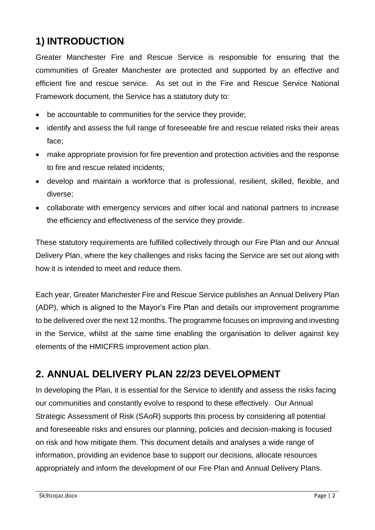## **1) INTRODUCTION**

Greater Manchester Fire and Rescue Service is responsible for ensuring that the communities of Greater Manchester are protected and supported by an effective and efficient fire and rescue service. As set out in the Fire and Rescue Service National Framework document, the Service has a statutory duty to:

- be accountable to communities for the service they provide;
- identify and assess the full range of foreseeable fire and rescue related risks their areas face;
- make appropriate provision for fire prevention and protection activities and the response to fire and rescue related incidents;
- develop and maintain a workforce that is professional, resilient, skilled, flexible, and diverse;
- collaborate with emergency services and other local and national partners to increase the efficiency and effectiveness of the service they provide.

These statutory requirements are fulfilled collectively through our Fire Plan and our Annual Delivery Plan, where the key challenges and risks facing the Service are set out along with how it is intended to meet and reduce them.

Each year, Greater Manchester Fire and Rescue Service publishes an Annual Delivery Plan (ADP), which is aligned to the Mayor's Fire Plan and details our improvement programme to be delivered over the next 12 months. The programme focuses on improving and investing in the Service, whilst at the same time enabling the organisation to deliver against key elements of the HMICFRS improvement action plan.

## **2. ANNUAL DELIVERY PLAN 22/23 DEVELOPMENT**

In developing the Plan, it is essential for the Service to identify and assess the risks facing our communities and constantly evolve to respond to these effectively. Our Annual Strategic Assessment of Risk (SAoR) supports this process by considering all potential and foreseeable risks and ensures our planning, policies and decision-making is focused on risk and how mitigate them. This document details and analyses a wide range of information, providing an evidence base to support our decisions, allocate resources appropriately and inform the development of our Fire Plan and Annual Delivery Plans.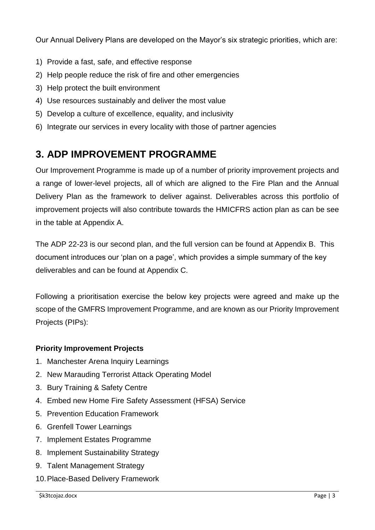Our Annual Delivery Plans are developed on the Mayor's six strategic priorities, which are:

- 1) Provide a fast, safe, and effective response
- 2) Help people reduce the risk of fire and other emergencies
- 3) Help protect the built environment
- 4) Use resources sustainably and deliver the most value
- 5) Develop a culture of excellence, equality, and inclusivity
- 6) Integrate our services in every locality with those of partner agencies

## **3. ADP IMPROVEMENT PROGRAMME**

Our Improvement Programme is made up of a number of priority improvement projects and a range of lower-level projects, all of which are aligned to the Fire Plan and the Annual Delivery Plan as the framework to deliver against. Deliverables across this portfolio of improvement projects will also contribute towards the HMICFRS action plan as can be see in the table at Appendix A.

The ADP 22-23 is our second plan, and the full version can be found at Appendix B. This document introduces our 'plan on a page', which provides a simple summary of the key deliverables and can be found at Appendix C.

Following a prioritisation exercise the below key projects were agreed and make up the scope of the GMFRS Improvement Programme, and are known as our Priority Improvement Projects (PIPs):

#### **Priority Improvement Projects**

- 1. Manchester Arena Inquiry Learnings
- 2. New Marauding Terrorist Attack Operating Model
- 3. Bury Training & Safety Centre
- 4. Embed new Home Fire Safety Assessment (HFSA) Service
- 5. Prevention Education Framework
- 6. Grenfell Tower Learnings
- 7. Implement Estates Programme
- 8. Implement Sustainability Strategy
- 9. Talent Management Strategy
- 10.Place-Based Delivery Framework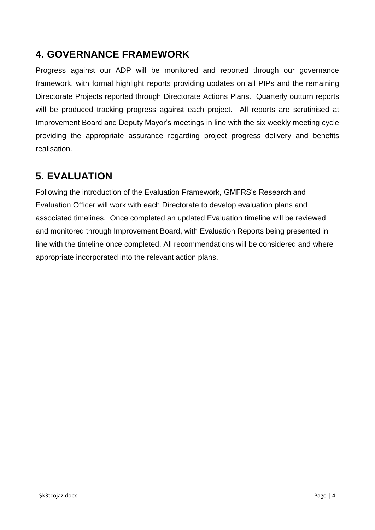## **4. GOVERNANCE FRAMEWORK**

Progress against our ADP will be monitored and reported through our governance framework, with formal highlight reports providing updates on all PIPs and the remaining Directorate Projects reported through Directorate Actions Plans. Quarterly outturn reports will be produced tracking progress against each project. All reports are scrutinised at Improvement Board and Deputy Mayor's meetings in line with the six weekly meeting cycle providing the appropriate assurance regarding project progress delivery and benefits realisation.

## **5. EVALUATION**

Following the introduction of the Evaluation Framework, GMFRS's Research and Evaluation Officer will work with each Directorate to develop evaluation plans and associated timelines. Once completed an updated Evaluation timeline will be reviewed and monitored through Improvement Board, with Evaluation Reports being presented in line with the timeline once completed. All recommendations will be considered and where appropriate incorporated into the relevant action plans.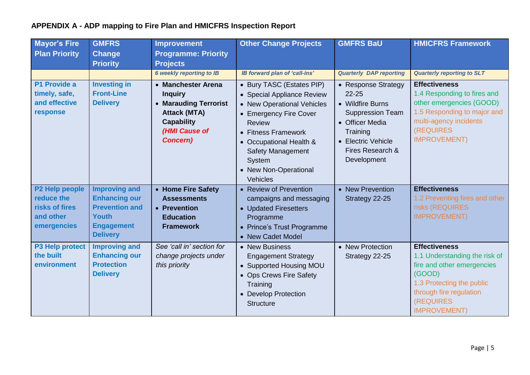## **APPENDIX A - ADP mapping to Fire Plan and HMICFRS Inspection Report**

| <b>Mayor's Fire</b><br><b>Plan Priority</b>                                | <b>GMFRS</b><br><b>Change</b><br><b>Priority</b>                                                                              | <b>Improvement</b><br><b>Programme: Priority</b><br><b>Projects</b>                                                                           | <b>Other Change Projects</b>                                                                                                                                                                                                                                  | <b>GMFRS BaU</b>                                                                                                                                                        | <b>HMICFRS Framework</b>                                                                                                                                                                          |
|----------------------------------------------------------------------------|-------------------------------------------------------------------------------------------------------------------------------|-----------------------------------------------------------------------------------------------------------------------------------------------|---------------------------------------------------------------------------------------------------------------------------------------------------------------------------------------------------------------------------------------------------------------|-------------------------------------------------------------------------------------------------------------------------------------------------------------------------|---------------------------------------------------------------------------------------------------------------------------------------------------------------------------------------------------|
|                                                                            |                                                                                                                               | <b>6 weekly reporting to IB</b>                                                                                                               | <b>IB forward plan of 'call-ins'</b>                                                                                                                                                                                                                          | <b>Quarterly DAP reporting</b>                                                                                                                                          | <b>Quarterly reporting to SLT</b>                                                                                                                                                                 |
| P1 Provide a<br>timely, safe,<br>and effective<br>response                 | <b>Investing in</b><br><b>Front-Line</b><br><b>Delivery</b>                                                                   | • Manchester Arena<br><b>Inquiry</b><br>• Marauding Terrorist<br><b>Attack (MTA)</b><br><b>Capability</b><br>(HMI Cause of<br><b>Concern)</b> | • Bury TASC (Estates PIP)<br>• Special Appliance Review<br>• New Operational Vehicles<br>• Emergency Fire Cover<br><b>Review</b><br>• Fitness Framework<br>• Occupational Health &<br><b>Safety Management</b><br>System<br>• New Non-Operational<br>Vehicles | • Response Strategy<br>$22 - 25$<br>• Wildfire Burns<br><b>Suppression Team</b><br>• Officer Media<br>Training<br>• Electric Vehicle<br>Fires Research &<br>Development | <b>Effectiveness</b><br>1.4 Responding to fires and<br>other emergencies (GOOD)<br>1.5 Responding to major and<br>multi-agency incidents<br><b>(REQUIRES)</b><br><b>IMPROVEMENT)</b>              |
| P2 Help people<br>reduce the<br>risks of fires<br>and other<br>emergencies | <b>Improving and</b><br><b>Enhancing our</b><br><b>Prevention and</b><br><b>Youth</b><br><b>Engagement</b><br><b>Delivery</b> | • Home Fire Safety<br><b>Assessments</b><br>• Prevention<br><b>Education</b><br><b>Framework</b>                                              | • Review of Prevention<br>campaigns and messaging<br>• Updated Firesetters<br>Programme<br>• Prince's Trust Programme<br>• New Cadet Model                                                                                                                    | • New Prevention<br>Strategy 22-25                                                                                                                                      | <b>Effectiveness</b><br>1.2 Preventing fires and other<br>risks (REQUIRES<br><b>IMPROVEMENT)</b>                                                                                                  |
| P3 Help protect<br>the built<br>environment                                | <b>Improving and</b><br><b>Enhancing our</b><br><b>Protection</b><br><b>Delivery</b>                                          | See 'call in' section for<br>change projects under<br>this priority                                                                           | • New Business<br><b>Engagement Strategy</b><br>• Supported Housing MOU<br>• Ops Crews Fire Safety<br>Training<br>• Develop Protection<br><b>Structure</b>                                                                                                    | • New Protection<br>Strategy 22-25                                                                                                                                      | <b>Effectiveness</b><br>1.1 Understanding the risk of<br>fire and other emergencies<br>(GOOD)<br>1.3 Protecting the public<br>through fire regulation<br><b>(REQUIRES)</b><br><b>IMPROVEMENT)</b> |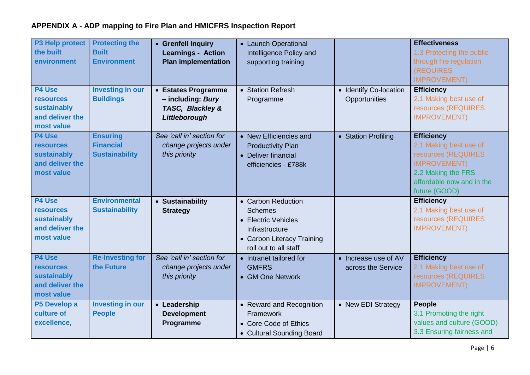## **APPENDIX A - ADP mapping to Fire Plan and HMICFRS Inspection Report**

| P3 Help protect<br>the built<br>environment<br>P4 Use<br><b>resources</b><br>sustainably<br>and deliver the<br>most value | <b>Protecting the</b><br><b>Built</b><br><b>Environment</b><br><b>Investing in our</b><br><b>Buildings</b> | • Grenfell Inquiry<br><b>Learnings - Action</b><br><b>Plan implementation</b><br>• Estates Programme<br>- including: Bury<br>TASC, Blackley &<br>Littleborough | • Launch Operational<br>Intelligence Policy and<br>supporting training<br>• Station Refresh<br>Programme                             | • Identify Co-location<br>Opportunities    | <b>Effectiveness</b><br>1.3 Protecting the public<br>through fire regulation<br><b>(REQUIRES)</b><br><b>IMPROVEMENT)</b><br><b>Efficiency</b><br>2.1 Making best use of<br>resources (REQUIRES<br><b>IMPROVEMENT)</b> |
|---------------------------------------------------------------------------------------------------------------------------|------------------------------------------------------------------------------------------------------------|----------------------------------------------------------------------------------------------------------------------------------------------------------------|--------------------------------------------------------------------------------------------------------------------------------------|--------------------------------------------|-----------------------------------------------------------------------------------------------------------------------------------------------------------------------------------------------------------------------|
| P4 Use<br><b>resources</b><br>sustainably<br>and deliver the<br>most value                                                | <b>Ensuring</b><br><b>Financial</b><br><b>Sustainability</b>                                               | See 'call in' section for<br>change projects under<br>this priority                                                                                            | • New Efficiencies and<br><b>Productivity Plan</b><br>• Deliver financial<br>efficiencies - £788k                                    | • Station Profiling                        | <b>Efficiency</b><br>2.1 Making best use of<br>resources (REQUIRES<br><b>IMPROVEMENT)</b><br>2.2 Making the FRS<br>affordable now and in the<br>future (GOOD)                                                         |
| <b>P4 Use</b><br><b>resources</b><br>sustainably<br>and deliver the<br>most value                                         | <b>Environmental</b><br><b>Sustainability</b>                                                              | • Sustainability<br><b>Strategy</b>                                                                                                                            | • Carbon Reduction<br><b>Schemes</b><br>• Electric Vehicles<br>Infrastructure<br>• Carbon Literacy Training<br>roll out to all staff |                                            | <b>Efficiency</b><br>2.1 Making best use of<br>resources (REQUIRES<br><b>IMPROVEMENT)</b>                                                                                                                             |
| <b>P4 Use</b><br><b>resources</b><br>sustainably<br>and deliver the<br>most value                                         | <b>Re-Investing for</b><br>the Future                                                                      | See 'call in' section for<br>change projects under<br>this priority                                                                                            | • Intranet tailored for<br><b>GMFRS</b><br>• GM One Network                                                                          | • Increase use of AV<br>across the Service | <b>Efficiency</b><br>2.1 Making best use of<br>resources (REQUIRES<br><b>IMPROVEMENT)</b>                                                                                                                             |
| P5 Develop a<br>culture of<br>excellence,                                                                                 | <b>Investing in our</b><br><b>People</b>                                                                   | • Leadership<br><b>Development</b><br>Programme                                                                                                                | • Reward and Recognition<br>Framework<br>• Core Code of Ethics<br>• Cultural Sounding Board                                          | • New EDI Strategy                         | <b>People</b><br>3.1 Promoting the right<br>values and culture (GOOD)<br>3.3 Ensuring fairness and                                                                                                                    |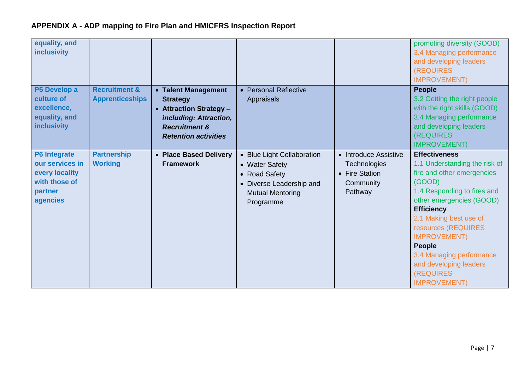| equality, and<br><b>inclusivity</b>                                                              |                                                    |                                                                                                                                                        |                                                                                                                                   |                                                                                 | promoting diversity (GOOD)<br>3.4 Managing performance<br>and developing leaders<br><b>(REQUIRES)</b><br><b>IMPROVEMENT)</b>                                                                                                                                                                                                                                      |
|--------------------------------------------------------------------------------------------------|----------------------------------------------------|--------------------------------------------------------------------------------------------------------------------------------------------------------|-----------------------------------------------------------------------------------------------------------------------------------|---------------------------------------------------------------------------------|-------------------------------------------------------------------------------------------------------------------------------------------------------------------------------------------------------------------------------------------------------------------------------------------------------------------------------------------------------------------|
| P5 Develop a<br>culture of<br>excellence,<br>equality, and<br><b>inclusivity</b>                 | <b>Recruitment &amp;</b><br><b>Apprenticeships</b> | • Talent Management<br><b>Strategy</b><br>• Attraction Strategy -<br>including: Attraction,<br><b>Recruitment &amp;</b><br><b>Retention activities</b> | • Personal Reflective<br><b>Appraisals</b>                                                                                        |                                                                                 | <b>People</b><br>3.2 Getting the right people<br>with the right skills (GOOD)<br>3.4 Managing performance<br>and developing leaders<br>(REQUIRES<br><b>IMPROVEMENT)</b>                                                                                                                                                                                           |
| <b>P6 Integrate</b><br>our services in<br>every locality<br>with those of<br>partner<br>agencies | <b>Partnership</b><br><b>Working</b>               | • Place Based Delivery<br><b>Framework</b>                                                                                                             | • Blue Light Collaboration<br>• Water Safety<br>• Road Safety<br>• Diverse Leadership and<br><b>Mutual Mentoring</b><br>Programme | • Introduce Assistive<br>Technologies<br>• Fire Station<br>Community<br>Pathway | <b>Effectiveness</b><br>1.1 Understanding the risk of<br>fire and other emergencies<br>(GOOD)<br>1.4 Responding to fires and<br>other emergencies (GOOD)<br><b>Efficiency</b><br>2.1 Making best use of<br>resources (REQUIRES<br><b>IMPROVEMENT)</b><br>People<br>3.4 Managing performance<br>and developing leaders<br><b>(REQUIRES)</b><br><b>IMPROVEMENT)</b> |